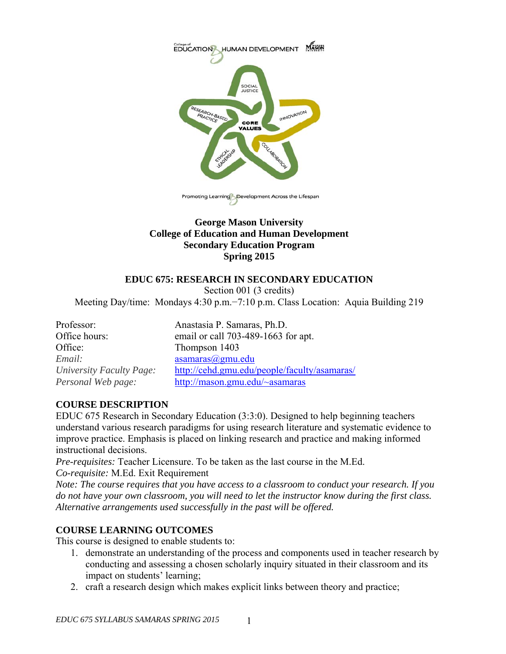

## **George Mason University College of Education and Human Development Secondary Education Program Spring 2015**

# **EDUC 675: RESEARCH IN SECONDARY EDUCATION**

Section 001 (3 credits)

Meeting Day/time: Mondays 4:30 p.m.−7:10 p.m. Class Location: Aquia Building 219

| Anastasia P. Samaras, Ph.D.                  |
|----------------------------------------------|
| email or call 703-489-1663 for apt.          |
| Thompson 1403                                |
| asamaras@gmu.edu                             |
| http://cehd.gmu.edu/people/faculty/asamaras/ |
| http://mason.gmu.edu/~asamaras               |
|                                              |

# **COURSE DESCRIPTION**

EDUC 675 Research in Secondary Education (3:3:0). Designed to help beginning teachers understand various research paradigms for using research literature and systematic evidence to improve practice. Emphasis is placed on linking research and practice and making informed instructional decisions.

*Pre-requisites:* Teacher Licensure. To be taken as the last course in the M.Ed. *Co-requisite:* M.Ed. Exit Requirement

*Note: The course requires that you have access to a classroom to conduct your research. If you do not have your own classroom, you will need to let the instructor know during the first class. Alternative arrangements used successfully in the past will be offered.* 

# **COURSE LEARNING OUTCOMES**

This course is designed to enable students to:

- 1. demonstrate an understanding of the process and components used in teacher research by conducting and assessing a chosen scholarly inquiry situated in their classroom and its impact on students' learning;
- 2. craft a research design which makes explicit links between theory and practice;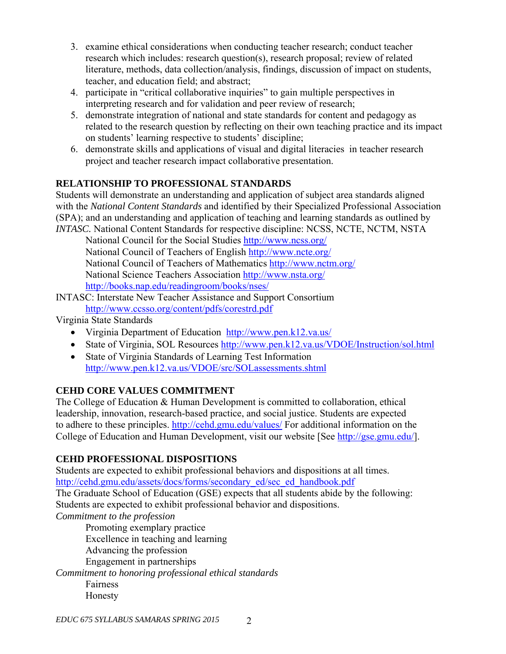- 3. examine ethical considerations when conducting teacher research; conduct teacher research which includes: research question(s), research proposal; review of related literature, methods, data collection/analysis, findings, discussion of impact on students, teacher, and education field; and abstract;
- 4. participate in "critical collaborative inquiries" to gain multiple perspectives in interpreting research and for validation and peer review of research;
- 5. demonstrate integration of national and state standards for content and pedagogy as related to the research question by reflecting on their own teaching practice and its impact on students' learning respective to students' discipline;
- 6. demonstrate skills and applications of visual and digital literacies in teacher research project and teacher research impact collaborative presentation.

# **RELATIONSHIP TO PROFESSIONAL STANDARDS**

Students will demonstrate an understanding and application of subject area standards aligned with the *National Content Standards* and identified by their Specialized Professional Association (SPA); and an understanding and application of teaching and learning standards as outlined by *INTASC.* National Content Standards for respective discipline: NCSS, NCTE, NCTM, NSTA

 National Council for the Social Studies http://www.ncss.org/ National Council of Teachers of English http://www.ncte.org/ National Council of Teachers of Mathematics http://www.nctm.org/ National Science Teachers Association http://www.nsta.org/ http://books.nap.edu/readingroom/books/nses/

INTASC: Interstate New Teacher Assistance and Support Consortium http://www.ccsso.org/content/pdfs/corestrd.pdf

Virginia State Standards

- Virginia Department of Education http://www.pen.k12.va.us/
- State of Virginia, SOL Resources http://www.pen.k12.va.us/VDOE/Instruction/sol.html
- State of Virginia Standards of Learning Test Information http://www.pen.k12.va.us/VDOE/src/SOLassessments.shtml

# **CEHD CORE VALUES COMMITMENT**

The College of Education & Human Development is committed to collaboration, ethical leadership, innovation, research-based practice, and social justice. Students are expected to adhere to these principles. http://cehd.gmu.edu/values/ For additional information on the College of Education and Human Development, visit our website [See http://gse.gmu.edu/].

# **CEHD PROFESSIONAL DISPOSITIONS**

Students are expected to exhibit professional behaviors and dispositions at all times. http://cehd.gmu.edu/assets/docs/forms/secondary\_ed/sec\_ed\_handbook.pdf The Graduate School of Education (GSE) expects that all students abide by the following: Students are expected to exhibit professional behavior and dispositions. *Commitment to the profession* 

 Promoting exemplary practice Excellence in teaching and learning Advancing the profession

Engagement in partnerships

*Commitment to honoring professional ethical standards* 

 Fairness Honesty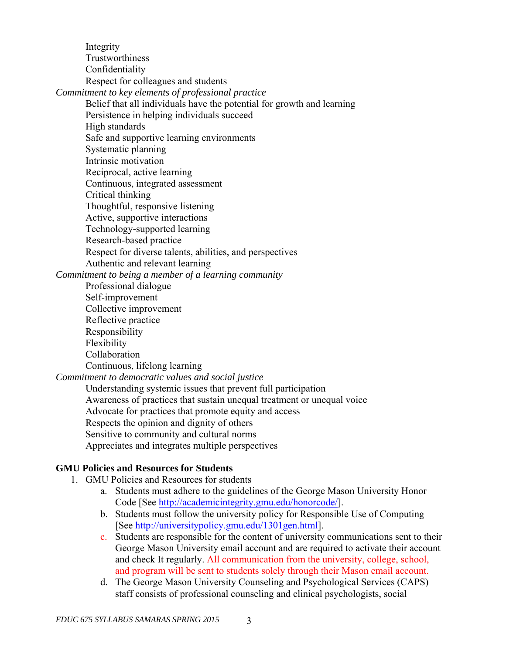Integrity **Trustworthiness**  Confidentiality Respect for colleagues and students *Commitment to key elements of professional practice*  Belief that all individuals have the potential for growth and learning Persistence in helping individuals succeed High standards Safe and supportive learning environments Systematic planning Intrinsic motivation Reciprocal, active learning Continuous, integrated assessment Critical thinking Thoughtful, responsive listening Active, supportive interactions Technology-supported learning Research-based practice Respect for diverse talents, abilities, and perspectives Authentic and relevant learning *Commitment to being a member of a learning community*  Professional dialogue Self-improvement Collective improvement Reflective practice Responsibility Flexibility Collaboration Continuous, lifelong learning *Commitment to democratic values and social justice* 

 Understanding systemic issues that prevent full participation Awareness of practices that sustain unequal treatment or unequal voice Advocate for practices that promote equity and access Respects the opinion and dignity of others Sensitive to community and cultural norms Appreciates and integrates multiple perspectives

## **GMU Policies and Resources for Students**

- 1. GMU Policies and Resources for students
	- a. Students must adhere to the guidelines of the George Mason University Honor Code [See http://academicintegrity.gmu.edu/honorcode/].
	- b. Students must follow the university policy for Responsible Use of Computing [See http://universitypolicy.gmu.edu/1301gen.html].
	- c. Students are responsible for the content of university communications sent to their George Mason University email account and are required to activate their account and check It regularly. All communication from the university, college, school, and program will be sent to students solely through their Mason email account.
	- d. The George Mason University Counseling and Psychological Services (CAPS) staff consists of professional counseling and clinical psychologists, social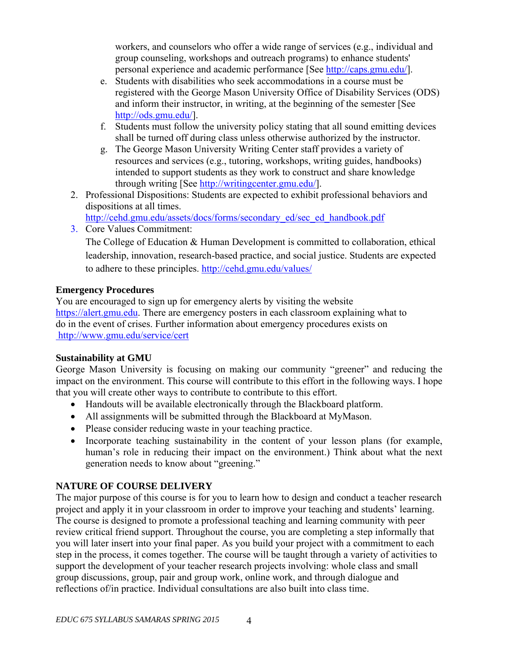workers, and counselors who offer a wide range of services (e.g., individual and group counseling, workshops and outreach programs) to enhance students' personal experience and academic performance [See http://caps.gmu.edu/].

- e. Students with disabilities who seek accommodations in a course must be registered with the George Mason University Office of Disability Services (ODS) and inform their instructor, in writing, at the beginning of the semester [See http://ods.gmu.edu/].
- f. Students must follow the university policy stating that all sound emitting devices shall be turned off during class unless otherwise authorized by the instructor.
- g. The George Mason University Writing Center staff provides a variety of resources and services (e.g., tutoring, workshops, writing guides, handbooks) intended to support students as they work to construct and share knowledge through writing [See http://writingcenter.gmu.edu/].
- 2. Professional Dispositions: Students are expected to exhibit professional behaviors and dispositions at all times.

http://cehd.gmu.edu/assets/docs/forms/secondary\_ed/sec\_ed\_handbook.pdf

3. Core Values Commitment: The College of Education & Human Development is committed to collaboration, ethical leadership, innovation, research-based practice, and social justice. Students are expected to adhere to these principles. http://cehd.gmu.edu/values/

# **Emergency Procedures**

You are encouraged to sign up for emergency alerts by visiting the website https://alert.gmu.edu. There are emergency posters in each classroom explaining what to do in the event of crises. Further information about emergency procedures exists on http://www.gmu.edu/service/cert

# **Sustainability at GMU**

George Mason University is focusing on making our community "greener" and reducing the impact on the environment. This course will contribute to this effort in the following ways. I hope that you will create other ways to contribute to contribute to this effort.

- Handouts will be available electronically through the Blackboard platform.
- All assignments will be submitted through the Blackboard at MyMason.
- Please consider reducing waste in your teaching practice.
- Incorporate teaching sustainability in the content of your lesson plans (for example, human's role in reducing their impact on the environment.) Think about what the next generation needs to know about "greening."

# **NATURE OF COURSE DELIVERY**

The major purpose of this course is for you to learn how to design and conduct a teacher research project and apply it in your classroom in order to improve your teaching and students' learning. The course is designed to promote a professional teaching and learning community with peer review critical friend support. Throughout the course, you are completing a step informally that you will later insert into your final paper. As you build your project with a commitment to each step in the process, it comes together. The course will be taught through a variety of activities to support the development of your teacher research projects involving: whole class and small group discussions, group, pair and group work, online work, and through dialogue and reflections of/in practice. Individual consultations are also built into class time.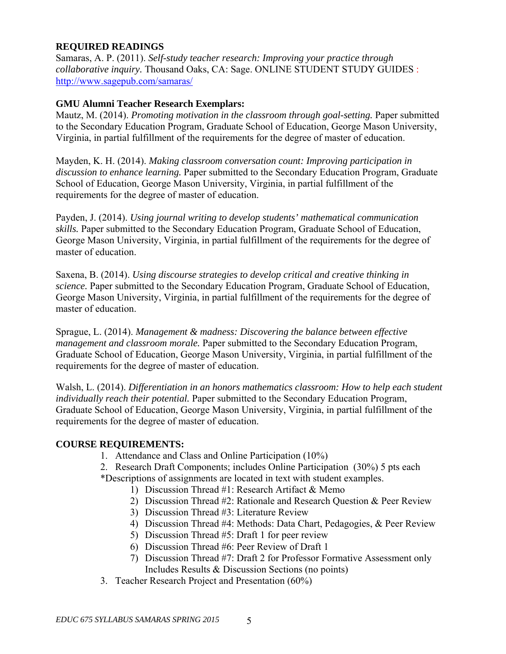## **REQUIRED READINGS**

Samaras, A. P. (2011). *Self-study teacher research: Improving your practice through collaborative inquiry.* Thousand Oaks, CA: Sage. ONLINE STUDENT STUDY GUIDES : http://www.sagepub.com/samaras/

## **GMU Alumni Teacher Research Exemplars:**

Mautz, M. (2014). *Promoting motivation in the classroom through goal-setting.* Paper submitted to the Secondary Education Program, Graduate School of Education, George Mason University, Virginia, in partial fulfillment of the requirements for the degree of master of education.

Mayden, K. H. (2014). *Making classroom conversation count: Improving participation in discussion to enhance learning.* Paper submitted to the Secondary Education Program, Graduate School of Education, George Mason University, Virginia, in partial fulfillment of the requirements for the degree of master of education.

Payden, J. (2014). *Using journal writing to develop students' mathematical communication skills.* Paper submitted to the Secondary Education Program, Graduate School of Education, George Mason University, Virginia, in partial fulfillment of the requirements for the degree of master of education.

Saxena, B. (2014). *Using discourse strategies to develop critical and creative thinking in science.* Paper submitted to the Secondary Education Program, Graduate School of Education, George Mason University, Virginia, in partial fulfillment of the requirements for the degree of master of education.

Sprague, L. (2014). *Management & madness: Discovering the balance between effective management and classroom morale.* Paper submitted to the Secondary Education Program, Graduate School of Education, George Mason University, Virginia, in partial fulfillment of the requirements for the degree of master of education.

Walsh, L. (2014). *Differentiation in an honors mathematics classroom: How to help each student individually reach their potential.* Paper submitted to the Secondary Education Program, Graduate School of Education, George Mason University, Virginia, in partial fulfillment of the requirements for the degree of master of education.

## **COURSE REQUIREMENTS:**

- 1. Attendance and Class and Online Participation (10%)
- 2. Research Draft Components; includes Online Participation (30%) 5 pts each
- \*Descriptions of assignments are located in text with student examples.
	- 1) Discussion Thread #1: Research Artifact & Memo
	- 2) Discussion Thread #2: Rationale and Research Question & Peer Review
	- 3) Discussion Thread #3: Literature Review
	- 4) Discussion Thread #4: Methods: Data Chart, Pedagogies, & Peer Review
	- 5) Discussion Thread #5: Draft 1 for peer review
	- 6) Discussion Thread #6: Peer Review of Draft 1
	- 7) Discussion Thread #7: Draft 2 for Professor Formative Assessment only Includes Results & Discussion Sections (no points)
- 3. Teacher Research Project and Presentation (60%)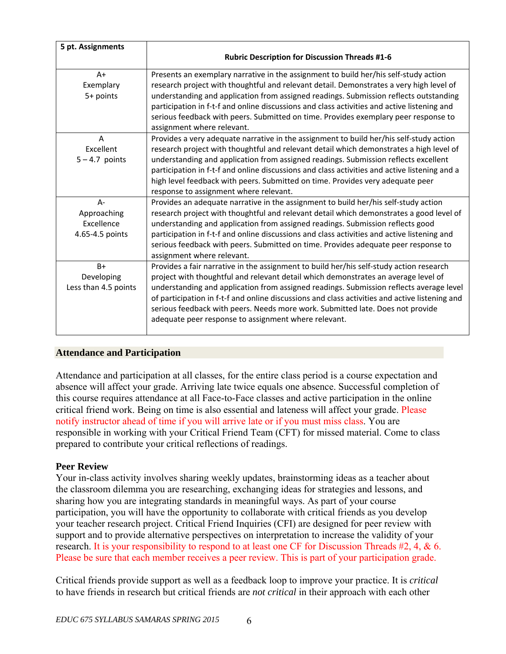| 5 pt. Assignments    | <b>Rubric Description for Discussion Threads #1-6</b>                                          |  |  |
|----------------------|------------------------------------------------------------------------------------------------|--|--|
| $A+$                 | Presents an exemplary narrative in the assignment to build her/his self-study action           |  |  |
| Exemplary            | research project with thoughtful and relevant detail. Demonstrates a very high level of        |  |  |
| $5+$ points          | understanding and application from assigned readings. Submission reflects outstanding          |  |  |
|                      | participation in f-t-f and online discussions and class activities and active listening and    |  |  |
|                      | serious feedback with peers. Submitted on time. Provides exemplary peer response to            |  |  |
|                      | assignment where relevant.                                                                     |  |  |
| $\overline{A}$       | Provides a very adequate narrative in the assignment to build her/his self-study action        |  |  |
| Excellent            | research project with thoughtful and relevant detail which demonstrates a high level of        |  |  |
| $5 - 4.7$ points     | understanding and application from assigned readings. Submission reflects excellent            |  |  |
|                      | participation in f-t-f and online discussions and class activities and active listening and a  |  |  |
|                      | high level feedback with peers. Submitted on time. Provides very adequate peer                 |  |  |
|                      | response to assignment where relevant.                                                         |  |  |
| A-                   | Provides an adequate narrative in the assignment to build her/his self-study action            |  |  |
| Approaching          | research project with thoughtful and relevant detail which demonstrates a good level of        |  |  |
| Excellence           | understanding and application from assigned readings. Submission reflects good                 |  |  |
| 4.65-4.5 points      | participation in f-t-f and online discussions and class activities and active listening and    |  |  |
|                      | serious feedback with peers. Submitted on time. Provides adequate peer response to             |  |  |
|                      | assignment where relevant.                                                                     |  |  |
| $B+$                 | Provides a fair narrative in the assignment to build her/his self-study action research        |  |  |
| Developing           | project with thoughtful and relevant detail which demonstrates an average level of             |  |  |
| Less than 4.5 points | understanding and application from assigned readings. Submission reflects average level        |  |  |
|                      | of participation in f-t-f and online discussions and class activities and active listening and |  |  |
|                      | serious feedback with peers. Needs more work. Submitted late. Does not provide                 |  |  |
|                      | adequate peer response to assignment where relevant.                                           |  |  |
|                      |                                                                                                |  |  |

## **Attendance and Participation**

Attendance and participation at all classes, for the entire class period is a course expectation and absence will affect your grade. Arriving late twice equals one absence. Successful completion of this course requires attendance at all Face-to-Face classes and active participation in the online critical friend work. Being on time is also essential and lateness will affect your grade. Please notify instructor ahead of time if you will arrive late or if you must miss class. You are responsible in working with your Critical Friend Team (CFT) for missed material. Come to class prepared to contribute your critical reflections of readings.

## **Peer Review**

Your in-class activity involves sharing weekly updates, brainstorming ideas as a teacher about the classroom dilemma you are researching, exchanging ideas for strategies and lessons, and sharing how you are integrating standards in meaningful ways. As part of your course participation, you will have the opportunity to collaborate with critical friends as you develop your teacher research project. Critical Friend Inquiries (CFI) are designed for peer review with support and to provide alternative perspectives on interpretation to increase the validity of your research. It is your responsibility to respond to at least one CF for Discussion Threads #2, 4, & 6. Please be sure that each member receives a peer review. This is part of your participation grade.

Critical friends provide support as well as a feedback loop to improve your practice. It is *critical* to have friends in research but critical friends are *not critical* in their approach with each other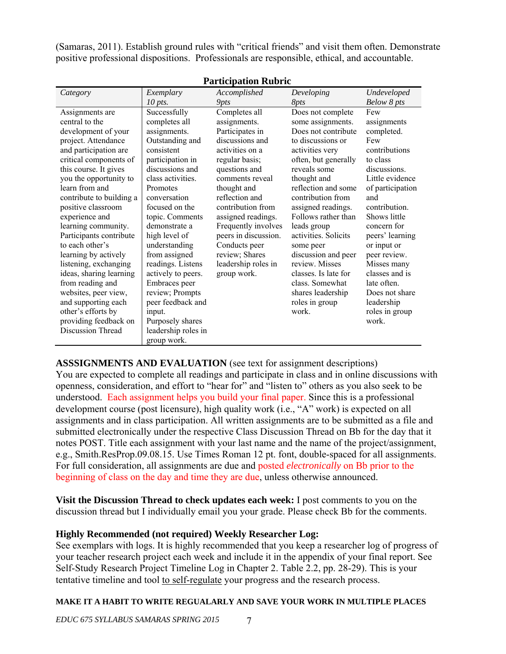(Samaras, 2011). Establish ground rules with "critical friends" and visit them often. Demonstrate positive professional dispositions. Professionals are responsible, ethical, and accountable.

| Participation Rubric     |                     |                      |                      |                  |
|--------------------------|---------------------|----------------------|----------------------|------------------|
| Category                 | Exemplary           | Accomplished         | Developing           | Undeveloped      |
|                          | 10 pts.             | 9pts                 | 8 <i>pts</i>         | Below 8 pts      |
| Assignments are          | Successfully        | Completes all        | Does not complete    | Few              |
| central to the           | completes all       | assignments.         | some assignments.    | assignments      |
| development of your      | assignments.        | Participates in      | Does not contribute  | completed.       |
| project. Attendance      | Outstanding and     | discussions and      | to discussions or    | Few              |
| and participation are    | consistent          | activities on a      | activities very      | contributions    |
| critical components of   | participation in    | regular basis;       | often, but generally | to class         |
| this course. It gives    | discussions and     | questions and        | reveals some         | discussions.     |
| you the opportunity to   | class activities.   | comments reveal      | thought and          | Little evidence  |
| learn from and           | Promotes            | thought and          | reflection and some  | of participation |
| contribute to building a | conversation        | reflection and       | contribution from    | and              |
| positive classroom       | focused on the      | contribution from    | assigned readings.   | contribution.    |
| experience and           | topic. Comments     | assigned readings.   | Follows rather than  | Shows little     |
| learning community.      | demonstrate a       | Frequently involves  | leads group          | concern for      |
| Participants contribute  | high level of       | peers in discussion. | activities. Solicits | peers' learning  |
| to each other's          | understanding       | Conducts peer        | some peer            | or input or      |
| learning by actively     | from assigned       | review; Shares       | discussion and peer  | peer review.     |
| listening, exchanging    | readings. Listens   | leadership roles in  | review. Misses       | Misses many      |
| ideas, sharing learning  | actively to peers.  | group work.          | classes. Is late for | classes and is   |
| from reading and         | Embraces peer       |                      | class. Somewhat      | late often.      |
| websites, peer view,     | review; Prompts     |                      | shares leadership    | Does not share   |
| and supporting each      | peer feedback and   |                      | roles in group       | leadership       |
| other's efforts by       | input.              |                      | work.                | roles in group   |
| providing feedback on    | Purposely shares    |                      |                      | work.            |
| <b>Discussion Thread</b> | leadership roles in |                      |                      |                  |
|                          | group work.         |                      |                      |                  |

**Participation Rubric** 

**ASSSIGNMENTS AND EVALUATION** (see text for assignment descriptions)

You are expected to complete all readings and participate in class and in online discussions with openness, consideration, and effort to "hear for" and "listen to" others as you also seek to be understood. Each assignment helps you build your final paper. Since this is a professional development course (post licensure), high quality work (i.e., "A" work) is expected on all assignments and in class participation. All written assignments are to be submitted as a file and submitted electronically under the respective Class Discussion Thread on Bb for the day that it notes POST. Title each assignment with your last name and the name of the project/assignment, e.g., Smith.ResProp.09.08.15. Use Times Roman 12 pt. font, double-spaced for all assignments. For full consideration, all assignments are due and posted *electronically* on Bb prior to the beginning of class on the day and time they are due, unless otherwise announced.

**Visit the Discussion Thread to check updates each week:** I post comments to you on the discussion thread but I individually email you your grade. Please check Bb for the comments.

# **Highly Recommended (not required) Weekly Researcher Log:**

See exemplars with logs. It is highly recommended that you keep a researcher log of progress of your teacher research project each week and include it in the appendix of your final report. See Self-Study Research Project Timeline Log in Chapter 2. Table 2.2, pp. 28-29). This is your tentative timeline and tool to self-regulate your progress and the research process.

## **MAKE IT A HABIT TO WRITE REGUALARLY AND SAVE YOUR WORK IN MULTIPLE PLACES**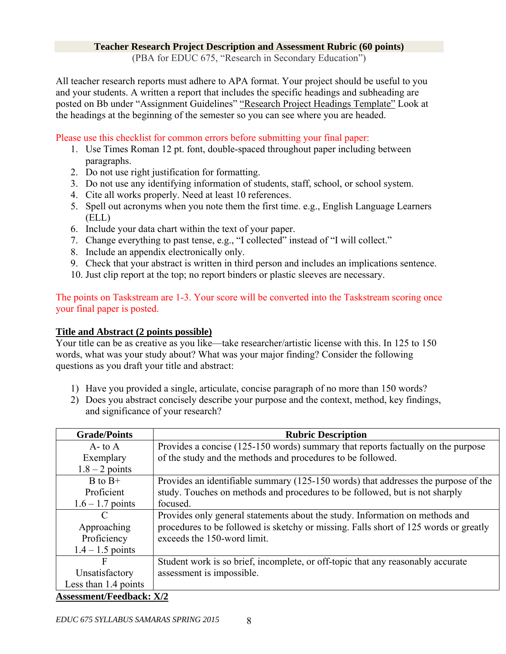#### **Teacher Research Project Description and Assessment Rubric (60 points)**

(PBA for EDUC 675, "Research in Secondary Education")

All teacher research reports must adhere to APA format. Your project should be useful to you and your students. A written a report that includes the specific headings and subheading are posted on Bb under "Assignment Guidelines" "Research Project Headings Template" Look at the headings at the beginning of the semester so you can see where you are headed.

Please use this checklist for common errors before submitting your final paper:

- 1. Use Times Roman 12 pt. font, double-spaced throughout paper including between paragraphs.
- 2. Do not use right justification for formatting.
- 3. Do not use any identifying information of students, staff, school, or school system.
- 4. Cite all works properly. Need at least 10 references.
- 5. Spell out acronyms when you note them the first time. e.g., English Language Learners (ELL)
- 6. Include your data chart within the text of your paper.
- 7. Change everything to past tense, e.g., "I collected" instead of "I will collect."
- 8. Include an appendix electronically only.
- 9. Check that your abstract is written in third person and includes an implications sentence.
- 10. Just clip report at the top; no report binders or plastic sleeves are necessary.

The points on Taskstream are 1-3. Your score will be converted into the Taskstream scoring once your final paper is posted.

# **Title and Abstract (2 points possible)**

Your title can be as creative as you like—take researcher/artistic license with this. In 125 to 150 words, what was your study about? What was your major finding? Consider the following questions as you draft your title and abstract:

- 1) Have you provided a single, articulate, concise paragraph of no more than 150 words?
- 2) Does you abstract concisely describe your purpose and the context, method, key findings, and significance of your research?

| <b>Grade/Points</b>             | <b>Rubric Description</b>                                                            |  |  |
|---------------------------------|--------------------------------------------------------------------------------------|--|--|
| $A$ - to $A$                    | Provides a concise (125-150 words) summary that reports factually on the purpose     |  |  |
| Exemplary                       | of the study and the methods and procedures to be followed.                          |  |  |
| $1.8 - 2$ points                |                                                                                      |  |  |
| $B$ to $B+$                     | Provides an identifiable summary (125-150 words) that addresses the purpose of the   |  |  |
| Proficient                      | study. Touches on methods and procedures to be followed, but is not sharply          |  |  |
| $1.6 - 1.7$ points              | focused.                                                                             |  |  |
| $\mathcal{C}$                   | Provides only general statements about the study. Information on methods and         |  |  |
| Approaching                     | procedures to be followed is sketchy or missing. Falls short of 125 words or greatly |  |  |
| Proficiency                     | exceeds the 150-word limit.                                                          |  |  |
| $1.4 - 1.5$ points              |                                                                                      |  |  |
| F                               | Student work is so brief, incomplete, or off-topic that any reasonably accurate      |  |  |
| Unsatisfactory                  | assessment is impossible.                                                            |  |  |
| Less than 1.4 points            |                                                                                      |  |  |
| <b>Assessment/Feedback: X/2</b> |                                                                                      |  |  |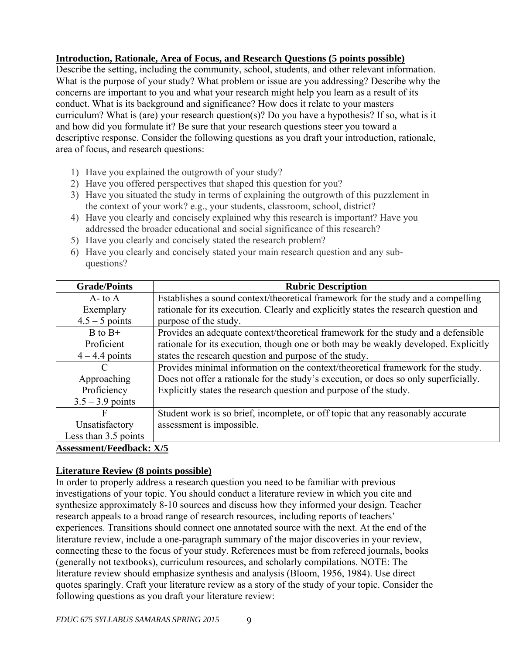# **Introduction, Rationale, Area of Focus, and Research Questions (5 points possible)**

Describe the setting, including the community, school, students, and other relevant information. What is the purpose of your study? What problem or issue are you addressing? Describe why the concerns are important to you and what your research might help you learn as a result of its conduct. What is its background and significance? How does it relate to your masters curriculum? What is (are) your research question(s)? Do you have a hypothesis? If so, what is it and how did you formulate it? Be sure that your research questions steer you toward a descriptive response. Consider the following questions as you draft your introduction, rationale, area of focus, and research questions:

- 1) Have you explained the outgrowth of your study?
- 2) Have you offered perspectives that shaped this question for you?
- 3) Have you situated the study in terms of explaining the outgrowth of this puzzlement in the context of your work? e.g., your students, classroom, school, district?
- 4) Have you clearly and concisely explained why this research is important? Have you addressed the broader educational and social significance of this research?
- 5) Have you clearly and concisely stated the research problem?
- 6) Have you clearly and concisely stated your main research question and any subquestions?

| <b>Grade/Points</b>             | <b>Rubric Description</b>                                                            |  |  |
|---------------------------------|--------------------------------------------------------------------------------------|--|--|
| $A$ - to $A$                    | Establishes a sound context/theoretical framework for the study and a compelling     |  |  |
| Exemplary                       | rationale for its execution. Clearly and explicitly states the research question and |  |  |
| $4.5 - 5$ points                | purpose of the study.                                                                |  |  |
| $B$ to $B+$                     | Provides an adequate context/theoretical framework for the study and a defensible    |  |  |
| Proficient                      | rationale for its execution, though one or both may be weakly developed. Explicitly  |  |  |
| $4 - 4.4$ points                | states the research question and purpose of the study.                               |  |  |
| C                               | Provides minimal information on the context/theoretical framework for the study.     |  |  |
| Approaching                     | Does not offer a rationale for the study's execution, or does so only superficially. |  |  |
| Proficiency                     | Explicitly states the research question and purpose of the study.                    |  |  |
| $3.5 - 3.9$ points              |                                                                                      |  |  |
| F                               | Student work is so brief, incomplete, or off topic that any reasonably accurate      |  |  |
| Unsatisfactory                  | assessment is impossible.                                                            |  |  |
| Less than 3.5 points            |                                                                                      |  |  |
| <b>Assessment/Feedback: X/5</b> |                                                                                      |  |  |

# **Literature Review (8 points possible)**

In order to properly address a research question you need to be familiar with previous investigations of your topic. You should conduct a literature review in which you cite and synthesize approximately 8-10 sources and discuss how they informed your design. Teacher research appeals to a broad range of research resources, including reports of teachers' experiences. Transitions should connect one annotated source with the next. At the end of the literature review, include a one-paragraph summary of the major discoveries in your review, connecting these to the focus of your study. References must be from refereed journals, books (generally not textbooks), curriculum resources, and scholarly compilations. NOTE: The literature review should emphasize synthesis and analysis (Bloom, 1956, 1984). Use direct quotes sparingly. Craft your literature review as a story of the study of your topic. Consider the following questions as you draft your literature review: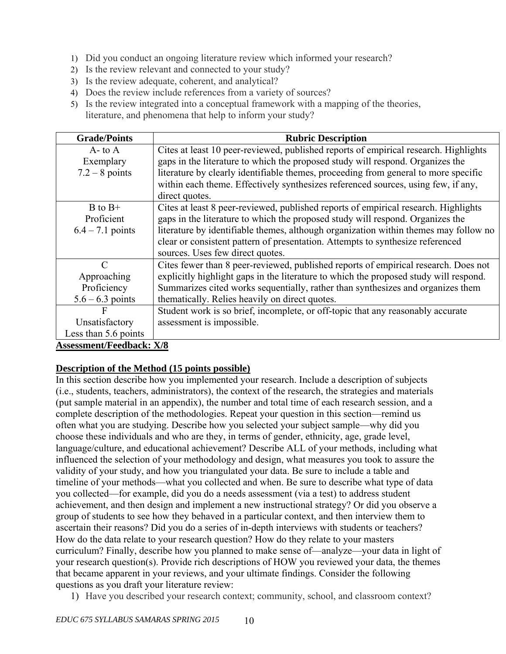- 1) Did you conduct an ongoing literature review which informed your research?
- 2) Is the review relevant and connected to your study?
- 3) Is the review adequate, coherent, and analytical?
- 4) Does the review include references from a variety of sources?
- 5) Is the review integrated into a conceptual framework with a mapping of the theories,

literature, and phenomena that help to inform your study?

| <b>Grade/Points</b>             | <b>Rubric Description</b>                                                             |  |  |
|---------------------------------|---------------------------------------------------------------------------------------|--|--|
| $A$ - to $A$                    | Cites at least 10 peer-reviewed, published reports of empirical research. Highlights  |  |  |
| Exemplary                       | gaps in the literature to which the proposed study will respond. Organizes the        |  |  |
| $7.2 - 8$ points                | literature by clearly identifiable themes, proceeding from general to more specific   |  |  |
|                                 | within each theme. Effectively synthesizes referenced sources, using few, if any,     |  |  |
|                                 | direct quotes.                                                                        |  |  |
| $B$ to $B+$                     | Cites at least 8 peer-reviewed, published reports of empirical research. Highlights   |  |  |
| Proficient                      | gaps in the literature to which the proposed study will respond. Organizes the        |  |  |
| $6.4 - 7.1$ points              | literature by identifiable themes, although organization within themes may follow no  |  |  |
|                                 | clear or consistent pattern of presentation. Attempts to synthesize referenced        |  |  |
|                                 | sources. Uses few direct quotes.                                                      |  |  |
| $\mathcal{C}$                   | Cites fewer than 8 peer-reviewed, published reports of empirical research. Does not   |  |  |
| Approaching                     | explicitly highlight gaps in the literature to which the proposed study will respond. |  |  |
| Proficiency                     | Summarizes cited works sequentially, rather than synthesizes and organizes them       |  |  |
| $5.6 - 6.3$ points              | thematically. Relies heavily on direct quotes.                                        |  |  |
| F                               | Student work is so brief, incomplete, or off-topic that any reasonably accurate       |  |  |
| Unsatisfactory                  | assessment is impossible.                                                             |  |  |
| Less than 5.6 points            |                                                                                       |  |  |
| <b>Assessment/Feedback: X/8</b> |                                                                                       |  |  |

# **Description of the Method (15 points possible)**

In this section describe how you implemented your research. Include a description of subjects (i.e., students, teachers, administrators), the context of the research, the strategies and materials (put sample material in an appendix), the number and total time of each research session, and a complete description of the methodologies. Repeat your question in this section—remind us often what you are studying. Describe how you selected your subject sample—why did you choose these individuals and who are they, in terms of gender, ethnicity, age, grade level, language/culture, and educational achievement? Describe ALL of your methods, including what influenced the selection of your methodology and design, what measures you took to assure the validity of your study, and how you triangulated your data. Be sure to include a table and timeline of your methods—what you collected and when. Be sure to describe what type of data you collected—for example, did you do a needs assessment (via a test) to address student achievement, and then design and implement a new instructional strategy? Or did you observe a group of students to see how they behaved in a particular context, and then interview them to ascertain their reasons? Did you do a series of in-depth interviews with students or teachers? How do the data relate to your research question? How do they relate to your masters curriculum? Finally, describe how you planned to make sense of—analyze—your data in light of your research question(s). Provide rich descriptions of HOW you reviewed your data, the themes that became apparent in your reviews, and your ultimate findings. Consider the following questions as you draft your literature review:

1) Have you described your research context; community, school, and classroom context?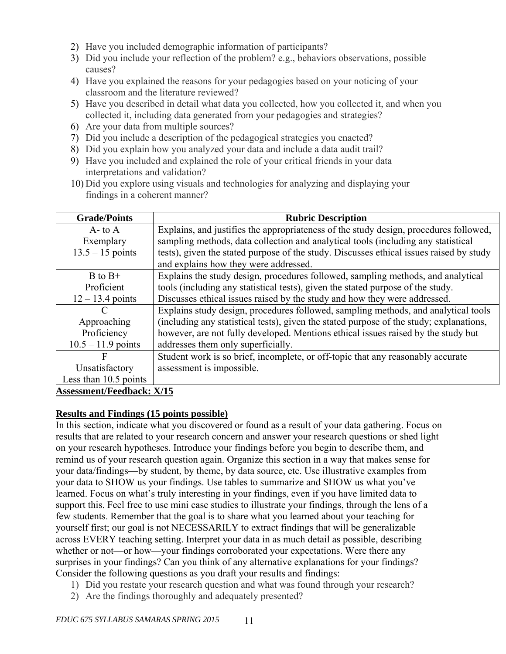- 2) Have you included demographic information of participants?
- 3) Did you include your reflection of the problem? e.g., behaviors observations, possible causes?
- 4) Have you explained the reasons for your pedagogies based on your noticing of your classroom and the literature reviewed?
- 5) Have you described in detail what data you collected, how you collected it, and when you collected it, including data generated from your pedagogies and strategies?
- 6) Are your data from multiple sources?
- 7) Did you include a description of the pedagogical strategies you enacted?
- 8) Did you explain how you analyzed your data and include a data audit trail?
- 9) Have you included and explained the role of your critical friends in your data interpretations and validation?
- 10) Did you explore using visuals and technologies for analyzing and displaying your findings in a coherent manner?

| <b>Grade/Points</b>                                        | <b>Rubric Description</b>                                                               |  |  |
|------------------------------------------------------------|-----------------------------------------------------------------------------------------|--|--|
| $A$ - to $A$                                               | Explains, and justifies the appropriateness of the study design, procedures followed,   |  |  |
| Exemplary                                                  | sampling methods, data collection and analytical tools (including any statistical       |  |  |
| $13.5 - 15$ points                                         | tests), given the stated purpose of the study. Discusses ethical issues raised by study |  |  |
|                                                            | and explains how they were addressed.                                                   |  |  |
| $B$ to $B+$                                                | Explains the study design, procedures followed, sampling methods, and analytical        |  |  |
| Proficient                                                 | tools (including any statistical tests), given the stated purpose of the study.         |  |  |
| $12 - 13.4$ points                                         | Discusses ethical issues raised by the study and how they were addressed.               |  |  |
|                                                            | Explains study design, procedures followed, sampling methods, and analytical tools      |  |  |
| Approaching                                                | (including any statistical tests), given the stated purpose of the study; explanations, |  |  |
| Proficiency                                                | however, are not fully developed. Mentions ethical issues raised by the study but       |  |  |
| $10.5 - 11.9$ points                                       | addresses them only superficially.                                                      |  |  |
| F                                                          | Student work is so brief, incomplete, or off-topic that any reasonably accurate         |  |  |
| Unsatisfactory                                             | assessment is impossible.                                                               |  |  |
| Less than 10.5 points                                      |                                                                                         |  |  |
| $\Lambda$ concerns and $\Gamma$ and $\Lambda$ and $\Gamma$ |                                                                                         |  |  |

# **Assessment/Feedback: X/15**

# **Results and Findings (15 points possible)**

In this section, indicate what you discovered or found as a result of your data gathering. Focus on results that are related to your research concern and answer your research questions or shed light on your research hypotheses. Introduce your findings before you begin to describe them, and remind us of your research question again. Organize this section in a way that makes sense for your data/findings—by student, by theme, by data source, etc. Use illustrative examples from your data to SHOW us your findings. Use tables to summarize and SHOW us what you've learned. Focus on what's truly interesting in your findings, even if you have limited data to support this. Feel free to use mini case studies to illustrate your findings, through the lens of a few students. Remember that the goal is to share what you learned about your teaching for yourself first; our goal is not NECESSARILY to extract findings that will be generalizable across EVERY teaching setting. Interpret your data in as much detail as possible, describing whether or not—or how—your findings corroborated your expectations. Were there any surprises in your findings? Can you think of any alternative explanations for your findings? Consider the following questions as you draft your results and findings:

- 1) Did you restate your research question and what was found through your research?
- 2) Are the findings thoroughly and adequately presented?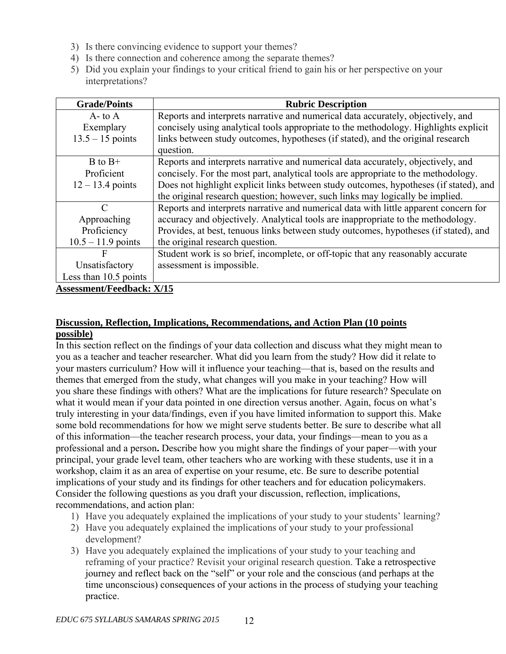- 3) Is there convincing evidence to support your themes?
- 4) Is there connection and coherence among the separate themes?
- 5) Did you explain your findings to your critical friend to gain his or her perspective on your interpretations?

| <b>Grade/Points</b>              | <b>Rubric Description</b>                                                             |
|----------------------------------|---------------------------------------------------------------------------------------|
| $A$ - to $A$                     | Reports and interprets narrative and numerical data accurately, objectively, and      |
| Exemplary                        | concisely using analytical tools appropriate to the methodology. Highlights explicit  |
| $13.5 - 15$ points               | links between study outcomes, hypotheses (if stated), and the original research       |
|                                  | question.                                                                             |
| $B$ to $B+$                      | Reports and interprets narrative and numerical data accurately, objectively, and      |
| Proficient                       | concisely. For the most part, analytical tools are appropriate to the methodology.    |
| $12 - 13.4$ points               | Does not highlight explicit links between study outcomes, hypotheses (if stated), and |
|                                  | the original research question; however, such links may logically be implied.         |
| C                                | Reports and interprets narrative and numerical data with little apparent concern for  |
| Approaching                      | accuracy and objectively. Analytical tools are inappropriate to the methodology.      |
| Proficiency                      | Provides, at best, tenuous links between study outcomes, hypotheses (if stated), and  |
| $10.5 - 11.9$ points             | the original research question.                                                       |
| F                                | Student work is so brief, incomplete, or off-topic that any reasonably accurate       |
| Unsatisfactory                   | assessment is impossible.                                                             |
| Less than 10.5 points            |                                                                                       |
| <b>Assessment/Feedback: X/15</b> |                                                                                       |

# **Discussion, Reflection, Implications, Recommendations, and Action Plan (10 points possible)**

In this section reflect on the findings of your data collection and discuss what they might mean to you as a teacher and teacher researcher. What did you learn from the study? How did it relate to your masters curriculum? How will it influence your teaching—that is, based on the results and themes that emerged from the study, what changes will you make in your teaching? How will you share these findings with others? What are the implications for future research? Speculate on what it would mean if your data pointed in one direction versus another. Again, focus on what's truly interesting in your data/findings, even if you have limited information to support this. Make some bold recommendations for how we might serve students better. Be sure to describe what all of this information—the teacher research process, your data, your findings—mean to you as a professional and a person**.** Describe how you might share the findings of your paper—with your principal, your grade level team, other teachers who are working with these students, use it in a workshop, claim it as an area of expertise on your resume, etc. Be sure to describe potential implications of your study and its findings for other teachers and for education policymakers. Consider the following questions as you draft your discussion, reflection, implications, recommendations, and action plan:

- 1) Have you adequately explained the implications of your study to your students' learning?
- 2) Have you adequately explained the implications of your study to your professional development?
- 3) Have you adequately explained the implications of your study to your teaching and reframing of your practice? Revisit your original research question. Take a retrospective journey and reflect back on the "self" or your role and the conscious (and perhaps at the time unconscious) consequences of your actions in the process of studying your teaching practice.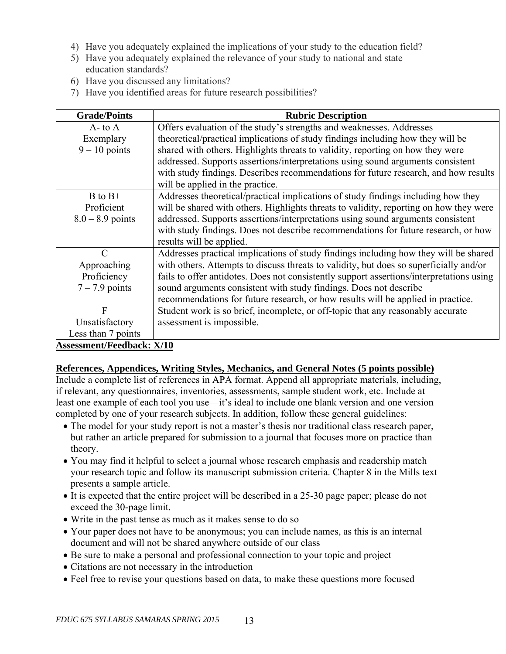- 4) Have you adequately explained the implications of your study to the education field?
- 5) Have you adequately explained the relevance of your study to national and state education standards?
- 6) Have you discussed any limitations?
- 7) Have you identified areas for future research possibilities?

| <b>Grade/Points</b>                                                                                                                                                                                                                                                                                                 | <b>Rubric Description</b>                                                                |  |  |
|---------------------------------------------------------------------------------------------------------------------------------------------------------------------------------------------------------------------------------------------------------------------------------------------------------------------|------------------------------------------------------------------------------------------|--|--|
| $A$ - to $A$                                                                                                                                                                                                                                                                                                        | Offers evaluation of the study's strengths and weaknesses. Addresses                     |  |  |
| Exemplary                                                                                                                                                                                                                                                                                                           | theoretical/practical implications of study findings including how they will be          |  |  |
| $9 - 10$ points                                                                                                                                                                                                                                                                                                     | shared with others. Highlights threats to validity, reporting on how they were           |  |  |
|                                                                                                                                                                                                                                                                                                                     | addressed. Supports assertions/interpretations using sound arguments consistent          |  |  |
|                                                                                                                                                                                                                                                                                                                     | with study findings. Describes recommendations for future research, and how results      |  |  |
|                                                                                                                                                                                                                                                                                                                     | will be applied in the practice.                                                         |  |  |
| $B$ to $B+$                                                                                                                                                                                                                                                                                                         | Addresses theoretical/practical implications of study findings including how they        |  |  |
| Proficient                                                                                                                                                                                                                                                                                                          | will be shared with others. Highlights threats to validity, reporting on how they were   |  |  |
| $8.0 - 8.9$ points                                                                                                                                                                                                                                                                                                  | addressed. Supports assertions/interpretations using sound arguments consistent          |  |  |
|                                                                                                                                                                                                                                                                                                                     | with study findings. Does not describe recommendations for future research, or how       |  |  |
|                                                                                                                                                                                                                                                                                                                     | results will be applied.                                                                 |  |  |
| $\mathcal{C}$                                                                                                                                                                                                                                                                                                       | Addresses practical implications of study findings including how they will be shared     |  |  |
| Approaching                                                                                                                                                                                                                                                                                                         | with others. Attempts to discuss threats to validity, but does so superficially and/or   |  |  |
| Proficiency                                                                                                                                                                                                                                                                                                         | fails to offer antidotes. Does not consistently support assertions/interpretations using |  |  |
| $7 - 7.9$ points                                                                                                                                                                                                                                                                                                    | sound arguments consistent with study findings. Does not describe                        |  |  |
|                                                                                                                                                                                                                                                                                                                     | recommendations for future research, or how results will be applied in practice.         |  |  |
| $\mathbf{F}$                                                                                                                                                                                                                                                                                                        | Student work is so brief, incomplete, or off-topic that any reasonably accurate          |  |  |
| Unsatisfactory                                                                                                                                                                                                                                                                                                      | assessment is impossible.                                                                |  |  |
| Less than 7 points                                                                                                                                                                                                                                                                                                  |                                                                                          |  |  |
| $\frac{1}{2}$ $\frac{1}{2}$ $\frac{1}{2}$ $\frac{1}{2}$ $\frac{1}{2}$ $\frac{1}{2}$ $\frac{1}{2}$ $\frac{1}{2}$ $\frac{1}{2}$ $\frac{1}{2}$ $\frac{1}{2}$ $\frac{1}{2}$ $\frac{1}{2}$ $\frac{1}{2}$ $\frac{1}{2}$ $\frac{1}{2}$ $\frac{1}{2}$ $\frac{1}{2}$ $\frac{1}{2}$ $\frac{1}{2}$ $\frac{1}{2}$ $\frac{1}{2}$ |                                                                                          |  |  |

## **Assessment/Feedback: X/10**

# **References, Appendices, Writing Styles, Mechanics, and General Notes (5 points possible)**

Include a complete list of references in APA format. Append all appropriate materials, including, if relevant, any questionnaires, inventories, assessments, sample student work, etc. Include at least one example of each tool you use—it's ideal to include one blank version and one version completed by one of your research subjects. In addition, follow these general guidelines:

- The model for your study report is not a master's thesis nor traditional class research paper, but rather an article prepared for submission to a journal that focuses more on practice than theory.
- You may find it helpful to select a journal whose research emphasis and readership match your research topic and follow its manuscript submission criteria. Chapter 8 in the Mills text presents a sample article.
- It is expected that the entire project will be described in a 25-30 page paper; please do not exceed the 30-page limit.
- Write in the past tense as much as it makes sense to do so
- Your paper does not have to be anonymous; you can include names, as this is an internal document and will not be shared anywhere outside of our class
- Be sure to make a personal and professional connection to your topic and project
- Citations are not necessary in the introduction
- Feel free to revise your questions based on data, to make these questions more focused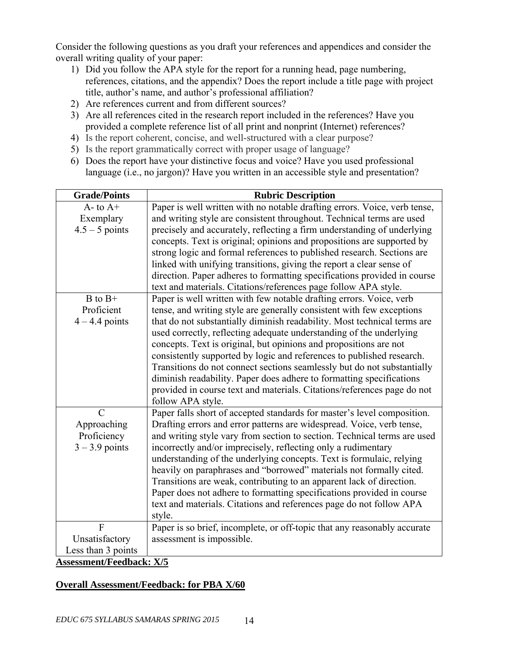Consider the following questions as you draft your references and appendices and consider the overall writing quality of your paper:

- 1) Did you follow the APA style for the report for a running head, page numbering, references, citations, and the appendix? Does the report include a title page with project title, author's name, and author's professional affiliation?
- 2) Are references current and from different sources?
- 3) Are all references cited in the research report included in the references? Have you provided a complete reference list of all print and nonprint (Internet) references?
- 4) Is the report coherent, concise, and well-structured with a clear purpose?
- 5) Is the report grammatically correct with proper usage of language?
- 6) Does the report have your distinctive focus and voice? Have you used professional language (i.e., no jargon)? Have you written in an accessible style and presentation?

| <b>Grade/Points</b>             | <b>Rubric Description</b>                                                 |  |  |  |
|---------------------------------|---------------------------------------------------------------------------|--|--|--|
| $A$ - to $A$ +                  | Paper is well written with no notable drafting errors. Voice, verb tense, |  |  |  |
| Exemplary                       | and writing style are consistent throughout. Technical terms are used     |  |  |  |
| $4.5 - 5$ points                | precisely and accurately, reflecting a firm understanding of underlying   |  |  |  |
|                                 | concepts. Text is original; opinions and propositions are supported by    |  |  |  |
|                                 | strong logic and formal references to published research. Sections are    |  |  |  |
|                                 | linked with unifying transitions, giving the report a clear sense of      |  |  |  |
|                                 | direction. Paper adheres to formatting specifications provided in course  |  |  |  |
|                                 | text and materials. Citations/references page follow APA style.           |  |  |  |
| $B$ to $B+$                     | Paper is well written with few notable drafting errors. Voice, verb       |  |  |  |
| Proficient                      | tense, and writing style are generally consistent with few exceptions     |  |  |  |
| $4 - 4.4$ points                | that do not substantially diminish readability. Most technical terms are  |  |  |  |
|                                 | used correctly, reflecting adequate understanding of the underlying       |  |  |  |
|                                 | concepts. Text is original, but opinions and propositions are not         |  |  |  |
|                                 | consistently supported by logic and references to published research.     |  |  |  |
|                                 | Transitions do not connect sections seamlessly but do not substantially   |  |  |  |
|                                 | diminish readability. Paper does adhere to formatting specifications      |  |  |  |
|                                 | provided in course text and materials. Citations/references page do not   |  |  |  |
|                                 | follow APA style.                                                         |  |  |  |
| $\overline{C}$                  | Paper falls short of accepted standards for master's level composition.   |  |  |  |
| Approaching                     | Drafting errors and error patterns are widespread. Voice, verb tense,     |  |  |  |
| Proficiency                     | and writing style vary from section to section. Technical terms are used  |  |  |  |
| $3 - 3.9$ points                | incorrectly and/or imprecisely, reflecting only a rudimentary             |  |  |  |
|                                 | understanding of the underlying concepts. Text is formulaic, relying      |  |  |  |
|                                 | heavily on paraphrases and "borrowed" materials not formally cited.       |  |  |  |
|                                 | Transitions are weak, contributing to an apparent lack of direction.      |  |  |  |
|                                 | Paper does not adhere to formatting specifications provided in course     |  |  |  |
|                                 | text and materials. Citations and references page do not follow APA       |  |  |  |
|                                 | style.                                                                    |  |  |  |
| $\overline{F}$                  | Paper is so brief, incomplete, or off-topic that any reasonably accurate  |  |  |  |
| Unsatisfactory                  | assessment is impossible.                                                 |  |  |  |
| Less than 3 points              |                                                                           |  |  |  |
| <b>Assessment/Feedback: X/5</b> |                                                                           |  |  |  |

# **Overall Assessment/Feedback: for PBA X/60**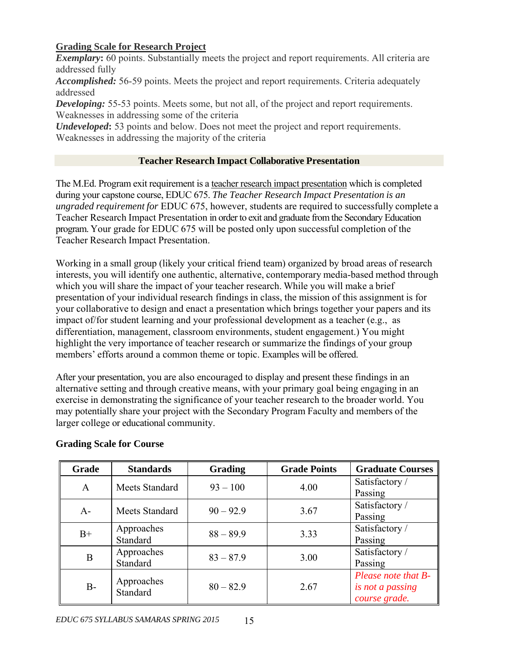# **Grading Scale for Research Project**

**Exemplary**: 60 points. Substantially meets the project and report requirements. All criteria are addressed fully

*Accomplished:* 56-59 points. Meets the project and report requirements. Criteria adequately addressed

**Developing:** 55-53 points. Meets some, but not all, of the project and report requirements. Weaknesses in addressing some of the criteria

*Undeveloped*: 53 points and below. Does not meet the project and report requirements. Weaknesses in addressing the majority of the criteria

# **Teacher Research Impact Collaborative Presentation**

The M.Ed. Program exit requirement is a teacher research impact presentation which is completed during your capstone course, EDUC 675. *The Teacher Research Impact Presentation is an ungraded requirement for* EDUC 675, however, students are required to successfully complete a Teacher Research Impact Presentation in order to exit and graduate from the Secondary Education program. Your grade for EDUC 675 will be posted only upon successful completion of the Teacher Research Impact Presentation.

Working in a small group (likely your critical friend team) organized by broad areas of research interests, you will identify one authentic, alternative, contemporary media-based method through which you will share the impact of your teacher research. While you will make a brief presentation of your individual research findings in class, the mission of this assignment is for your collaborative to design and enact a presentation which brings together your papers and its impact of/for student learning and your professional development as a teacher (e.g., as differentiation, management, classroom environments, student engagement.) You might highlight the very importance of teacher research or summarize the findings of your group members' efforts around a common theme or topic. Examples will be offered.

After your presentation, you are also encouraged to display and present these findings in an alternative setting and through creative means, with your primary goal being engaging in an exercise in demonstrating the significance of your teacher research to the broader world. You may potentially share your project with the Secondary Program Faculty and members of the larger college or educational community.

| Grade | <b>Standards</b>       | <b>Grading</b> | <b>Grade Points</b> | <b>Graduate Courses</b> |
|-------|------------------------|----------------|---------------------|-------------------------|
| A     | Meets Standard         | $93 - 100$     | 4.00                | Satisfactory /          |
|       |                        |                |                     | Passing                 |
| $A-$  | <b>Meets Standard</b>  | $90 - 92.9$    | 3.67                | Satisfactory /          |
|       |                        |                |                     | Passing                 |
| $B+$  | Approaches<br>Standard | $88 - 89.9$    | 3.33                | Satisfactory /          |
|       |                        |                |                     | Passing                 |
|       | Approaches             | $83 - 87.9$    | 3.00                | Satisfactory /          |
| B     | Standard               |                |                     | Passing                 |
| $B-$  | Approaches<br>Standard |                | 2.67                | Please note that B-     |
|       |                        | $80 - 82.9$    |                     | is not a passing        |
|       |                        |                |                     | course grade.           |

# **Grading Scale for Course**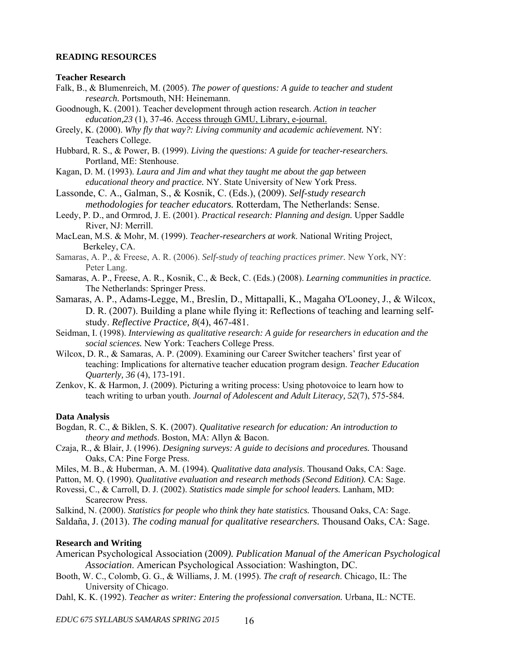#### **READING RESOURCES**

#### **Teacher Research**

- Falk, B., & Blumenreich, M. (2005). *The power of questions: A guide to teacher and student research.* Portsmouth, NH: Heinemann.
- Goodnough, K. (2001). Teacher development through action research. *Action in teacher education,23* (1), 37-46. Access through GMU, Library, e-journal.
- Greely, K. (2000). *Why fly that way?: Living community and academic achievement.* NY: Teachers College.
- Hubbard, R. S., & Power, B. (1999). *Living the questions: A guide for teacher-researchers.*  Portland, ME: Stenhouse.
- Kagan, D. M. (1993). *Laura and Jim and what they taught me about the gap between educational theory and practice.* NY. State University of New York Press.
- Lassonde, C. A., Galman, S., & Kosnik, C. (Eds.), (2009). *Self-study research methodologies for teacher educators.* Rotterdam, The Netherlands: Sense.
- Leedy, P. D., and Ormrod, J. E. (2001). *Practical research: Planning and design.* Upper Saddle River, NJ: Merrill.
- MacLean, M.S. & Mohr, M. (1999). *Teacher-researchers at work*. National Writing Project, Berkeley, CA.
- Samaras, A. P., & Freese, A. R. (2006). *Self-study of teaching practices primer.* New York, NY: Peter Lang.
- Samaras, A. P., Freese, A. R., Kosnik, C., & Beck, C. (Eds.) (2008). *Learning communities in practice.*  The Netherlands: Springer Press.
- Samaras, A. P., Adams-Legge, M., Breslin, D., Mittapalli, K., Magaha O'Looney, J., & Wilcox, D. R. (2007). Building a plane while flying it: Reflections of teaching and learning self study. *Reflective Practice, 8*(4), 467-481.
- Seidman, I. (1998). *Interviewing as qualitative research: A guide for researchers in education and the social sciences.* New York: Teachers College Press.
- Wilcox, D. R., & Samaras, A. P. (2009). Examining our Career Switcher teachers' first year of teaching: Implications for alternative teacher education program design. *Teacher Education Quarterly, 36* (4), 173-191.
- Zenkov, K. & Harmon, J. (2009). Picturing a writing process: Using photovoice to learn how to teach writing to urban youth. *Journal of Adolescent and Adult Literacy, 52*(7), 575-584*.*

#### **Data Analysis**

- Bogdan, R. C., & Biklen, S. K. (2007). *Qualitative research for education: An introduction to theory and methods*. Boston, MA: Allyn & Bacon.
- Czaja, R., & Blair, J. (1996). *Designing surveys: A guide to decisions and procedures.* Thousand Oaks, CA: Pine Forge Press.
- Miles, M. B., & Huberman, A. M. (1994). *Qualitative data analysis*. Thousand Oaks, CA: Sage.
- Patton, M. Q. (1990). *Qualitative evaluation and research methods (Second Edition).* CA: Sage.

Rovessi, C., & Carroll, D. J. (2002). *Statistics made simple for school leaders.* Lanham, MD: Scarecrow Press.

Salkind, N. (2000). *Statistics for people who think they hate statistics.* Thousand Oaks, CA: Sage. Saldaña, J. (2013). *The coding manual for qualitative researchers.* Thousand Oaks, CA: Sage.

#### **Research and Writing**

- American Psychological Association (2009*). Publication Manual of the American Psychological Association*. American Psychological Association: Washington, DC.
- Booth, W. C., Colomb, G. G., & Williams, J. M. (1995). *The craft of research*. Chicago, IL: The University of Chicago.

Dahl, K. K. (1992). *Teacher as writer: Entering the professional conversation.* Urbana, IL: NCTE.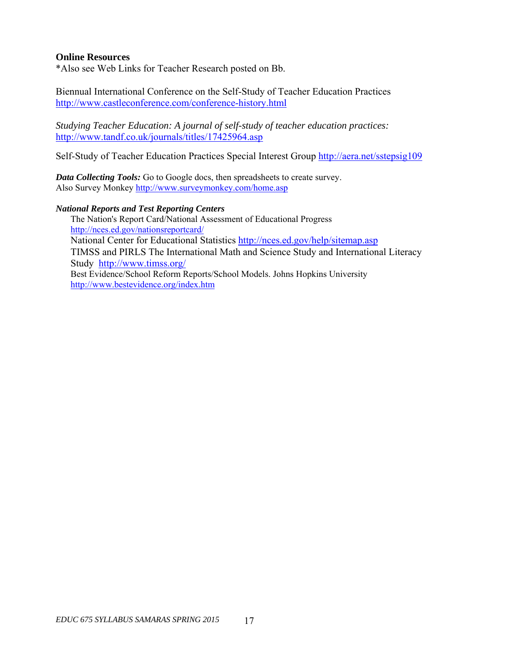## **Online Resources**

\*Also see Web Links for Teacher Research posted on Bb.

Biennual International Conference on the Self-Study of Teacher Education Practices http://www.castleconference.com/conference-history.html

*Studying Teacher Education: A journal of self-study of teacher education practices:*  http://www.tandf.co.uk/journals/titles/17425964.asp

Self-Study of Teacher Education Practices Special Interest Group http://aera.net/sstepsig109

*Data Collecting Tools:* Go to Google docs, then spreadsheets to create survey. Also Survey Monkey http://www.surveymonkey.com/home.asp

#### *National Reports and Test Reporting Centers*

The Nation's Report Card/National Assessment of Educational Progress http://nces.ed.gov/nationsreportcard/ National Center for Educational Statistics http://nces.ed.gov/help/sitemap.asp TIMSS and PIRLS The International Math and Science Study and International Literacy Study http://www.timss.org/ Best Evidence/School Reform Reports/School Models. Johns Hopkins University http://www.bestevidence.org/index.htm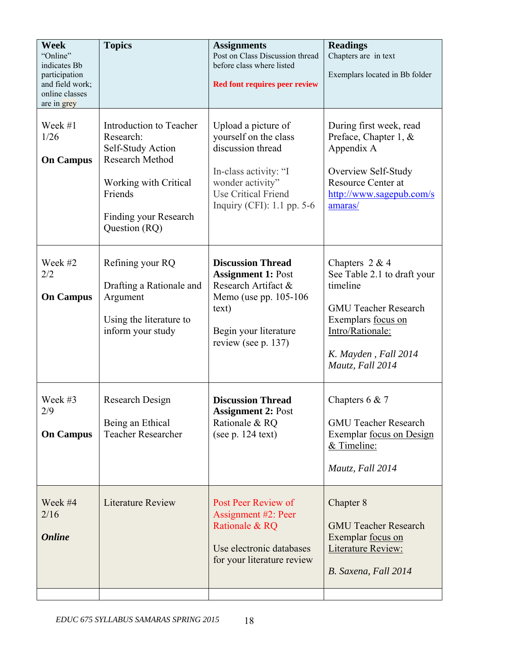| <b>Week</b><br>"Online"<br>indicates Bb<br>participation<br>and field work;<br>online classes<br>are in grey | <b>Topics</b>                                                                                                                                                     | <b>Assignments</b><br>Post on Class Discussion thread<br>before class where listed<br><b>Red font requires peer review</b>                                                   | <b>Readings</b><br>Chapters are in text<br>Exemplars located in Bb folder                                                                                                        |
|--------------------------------------------------------------------------------------------------------------|-------------------------------------------------------------------------------------------------------------------------------------------------------------------|------------------------------------------------------------------------------------------------------------------------------------------------------------------------------|----------------------------------------------------------------------------------------------------------------------------------------------------------------------------------|
| Week #1<br>1/26<br><b>On Campus</b>                                                                          | Introduction to Teacher<br>Research:<br>Self-Study Action<br><b>Research Method</b><br>Working with Critical<br>Friends<br>Finding your Research<br>Question (RQ) | Upload a picture of<br>yourself on the class<br>discussion thread<br>In-class activity: "I<br>wonder activity"<br><b>Use Critical Friend</b><br>Inquiry (CFI): $1.1$ pp. 5-6 | During first week, read<br>Preface, Chapter 1, &<br>Appendix A<br>Overview Self-Study<br><b>Resource Center at</b><br>http://www.sagepub.com/s<br>amaras/                        |
| Week #2<br>2/2<br><b>On Campus</b>                                                                           | Refining your RQ<br>Drafting a Rationale and<br>Argument<br>Using the literature to<br>inform your study                                                          | <b>Discussion Thread</b><br><b>Assignment 1: Post</b><br>Research Artifact &<br>Memo (use pp. 105-106)<br>text)<br>Begin your literature<br>review (see p. 137)              | Chapters $2 & 4$<br>See Table 2.1 to draft your<br>timeline<br><b>GMU Teacher Research</b><br>Exemplars focus on<br>Intro/Rationale:<br>K. Mayden, Fall 2014<br>Mautz, Fall 2014 |
| Week #3<br>2/9<br><b>On Campus</b>                                                                           | Research Design<br>Being an Ethical<br><b>Teacher Researcher</b>                                                                                                  | <b>Discussion Thread</b><br><b>Assignment 2: Post</b><br>Rationale & RQ<br>(see $p. 124$ text)                                                                               | Chapters $6 & 7$<br><b>GMU Teacher Research</b><br>Exemplar <u>focus</u> on Design<br>& Timeline:<br>Mautz, Fall 2014                                                            |
| Week #4<br>2/16<br><b>Online</b>                                                                             | <b>Literature Review</b>                                                                                                                                          | Post Peer Review of<br>Assignment #2: Peer<br>Rationale & RQ<br>Use electronic databases<br>for your literature review                                                       | Chapter 8<br><b>GMU Teacher Research</b><br>Exemplar focus on<br><b>Literature Review:</b><br>B. Saxena, Fall 2014                                                               |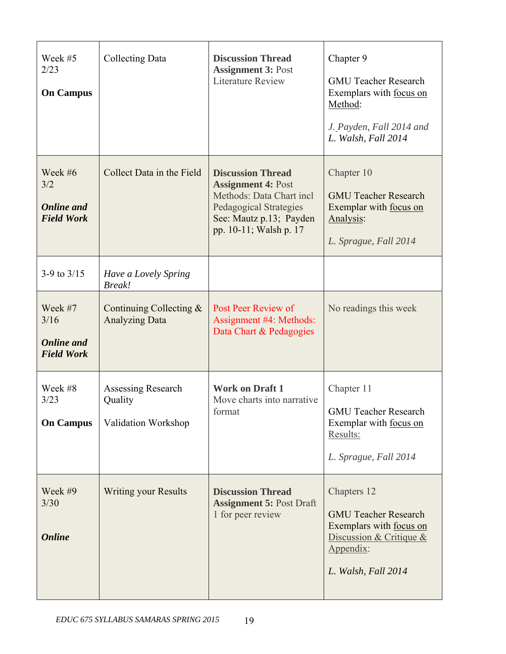| Week #5<br>2/23<br><b>On Campus</b>                       | Collecting Data                                      | <b>Discussion Thread</b><br><b>Assignment 3: Post</b><br><b>Literature Review</b>                                                                                       | Chapter 9<br><b>GMU Teacher Research</b><br>Exemplars with focus on<br>Method:<br>J. Payden, Fall 2014 and<br>L. Walsh, Fall 2014      |
|-----------------------------------------------------------|------------------------------------------------------|-------------------------------------------------------------------------------------------------------------------------------------------------------------------------|----------------------------------------------------------------------------------------------------------------------------------------|
| Week #6<br>3/2<br><b>Online</b> and<br><b>Field Work</b>  | Collect Data in the Field                            | <b>Discussion Thread</b><br><b>Assignment 4: Post</b><br>Methods: Data Chart incl<br><b>Pedagogical Strategies</b><br>See: Mautz p.13; Payden<br>pp. 10-11; Walsh p. 17 | Chapter 10<br><b>GMU Teacher Research</b><br>Exemplar with focus on<br>Analysis:<br>L. Sprague, Fall 2014                              |
| 3-9 to $3/15$                                             | Have a Lovely Spring<br><b>Break!</b>                |                                                                                                                                                                         |                                                                                                                                        |
| Week #7<br>3/16<br><b>Online</b> and<br><b>Field Work</b> | Continuing Collecting $&$<br><b>Analyzing Data</b>   | Post Peer Review of<br>Assignment #4: Methods:<br>Data Chart & Pedagogies                                                                                               | No readings this week                                                                                                                  |
| Week #8<br>3/23<br><b>On Campus</b>                       | Assessing Research<br>Quality<br>Validation Workshop | <b>Work on Draft 1</b><br>Move charts into narrative<br>format                                                                                                          | Chapter 11<br><b>GMU Teacher Research</b><br>Exemplar with <u>focus on</u><br>Results:<br>L. Sprague, Fall 2014                        |
| Week #9<br>3/30<br><b>Online</b>                          | <b>Writing your Results</b>                          | <b>Discussion Thread</b><br><b>Assignment 5: Post Draft</b><br>1 for peer review                                                                                        | Chapters 12<br><b>GMU Teacher Research</b><br>Exemplars with focus on<br>Discussion & Critique $&$<br>Appendix:<br>L. Walsh, Fall 2014 |